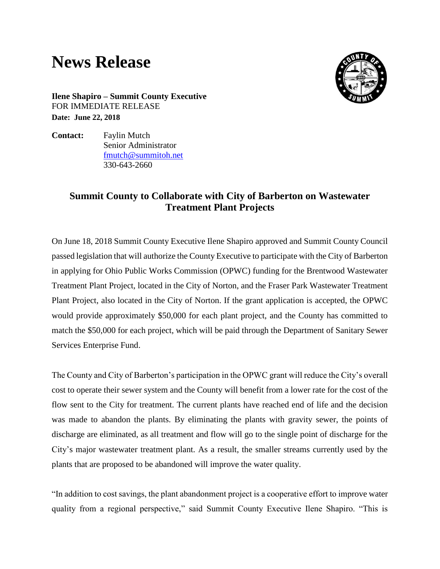## **News Release**



**Ilene Shapiro – Summit County Executive** FOR IMMEDIATE RELEASE **Date: June 22, 2018**

**Contact:** Faylin Mutch Senior Administrator [fmutch@summitoh.net](mailto:fmutch@summitoh.net) 330-643-2660

## **Summit County to Collaborate with City of Barberton on Wastewater Treatment Plant Projects**

On June 18, 2018 Summit County Executive Ilene Shapiro approved and Summit County Council passed legislation that will authorize the County Executive to participate with the City of Barberton in applying for Ohio Public Works Commission (OPWC) funding for the Brentwood Wastewater Treatment Plant Project, located in the City of Norton, and the Fraser Park Wastewater Treatment Plant Project, also located in the City of Norton. If the grant application is accepted, the OPWC would provide approximately \$50,000 for each plant project, and the County has committed to match the \$50,000 for each project, which will be paid through the Department of Sanitary Sewer Services Enterprise Fund.

The County and City of Barberton's participation in the OPWC grant will reduce the City's overall cost to operate their sewer system and the County will benefit from a lower rate for the cost of the flow sent to the City for treatment. The current plants have reached end of life and the decision was made to abandon the plants. By eliminating the plants with gravity sewer, the points of discharge are eliminated, as all treatment and flow will go to the single point of discharge for the City's major wastewater treatment plant. As a result, the smaller streams currently used by the plants that are proposed to be abandoned will improve the water quality.

"In addition to cost savings, the plant abandonment project is a cooperative effort to improve water quality from a regional perspective," said Summit County Executive Ilene Shapiro. "This is